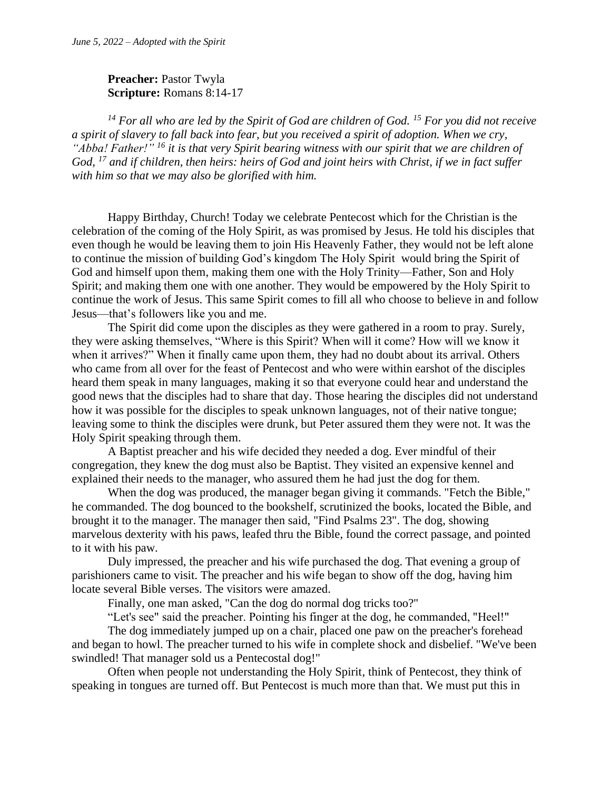## **Preacher:** Pastor Twyla **Scripture:** Romans 8:14-17

*<sup>14</sup> For all who are led by the Spirit of God are children of God. <sup>15</sup> For you did not receive a spirit of slavery to fall back into fear, but you received a spirit of adoption. When we cry, "Abba! Father!" <sup>16</sup> it is that very Spirit bearing witness with our spirit that we are children of God, <sup>17</sup> and if children, then heirs: heirs of God and joint heirs with Christ, if we in fact suffer with him so that we may also be glorified with him.*

Happy Birthday, Church! Today we celebrate Pentecost which for the Christian is the celebration of the coming of the Holy Spirit, as was promised by Jesus. He told his disciples that even though he would be leaving them to join His Heavenly Father, they would not be left alone to continue the mission of building God's kingdom The Holy Spirit would bring the Spirit of God and himself upon them, making them one with the Holy Trinity—Father, Son and Holy Spirit; and making them one with one another. They would be empowered by the Holy Spirit to continue the work of Jesus. This same Spirit comes to fill all who choose to believe in and follow Jesus—that's followers like you and me.

The Spirit did come upon the disciples as they were gathered in a room to pray. Surely, they were asking themselves, "Where is this Spirit? When will it come? How will we know it when it arrives?" When it finally came upon them, they had no doubt about its arrival. Others who came from all over for the feast of Pentecost and who were within earshot of the disciples heard them speak in many languages, making it so that everyone could hear and understand the good news that the disciples had to share that day. Those hearing the disciples did not understand how it was possible for the disciples to speak unknown languages, not of their native tongue; leaving some to think the disciples were drunk, but Peter assured them they were not. It was the Holy Spirit speaking through them.

A Baptist preacher and his wife decided they needed a dog. Ever mindful of their congregation, they knew the dog must also be Baptist. They visited an expensive kennel and explained their needs to the manager, who assured them he had just the dog for them.

When the dog was produced, the manager began giving it commands. "Fetch the Bible," he commanded. The dog bounced to the bookshelf, scrutinized the books, located the Bible, and brought it to the manager. The manager then said, "Find Psalms 23". The dog, showing marvelous dexterity with his paws, leafed thru the Bible, found the correct passage, and pointed to it with his paw.

Duly impressed, the preacher and his wife purchased the dog. That evening a group of parishioners came to visit. The preacher and his wife began to show off the dog, having him locate several Bible verses. The visitors were amazed.

Finally, one man asked, "Can the dog do normal dog tricks too?"

"Let's see" said the preacher. Pointing his finger at the dog, he commanded, "Heel!"

The dog immediately jumped up on a chair, placed one paw on the preacher's forehead and began to howl. The preacher turned to his wife in complete shock and disbelief. "We've been swindled! That manager sold us a Pentecostal dog!"

Often when people not understanding the Holy Spirit, think of Pentecost, they think of speaking in tongues are turned off. But Pentecost is much more than that. We must put this in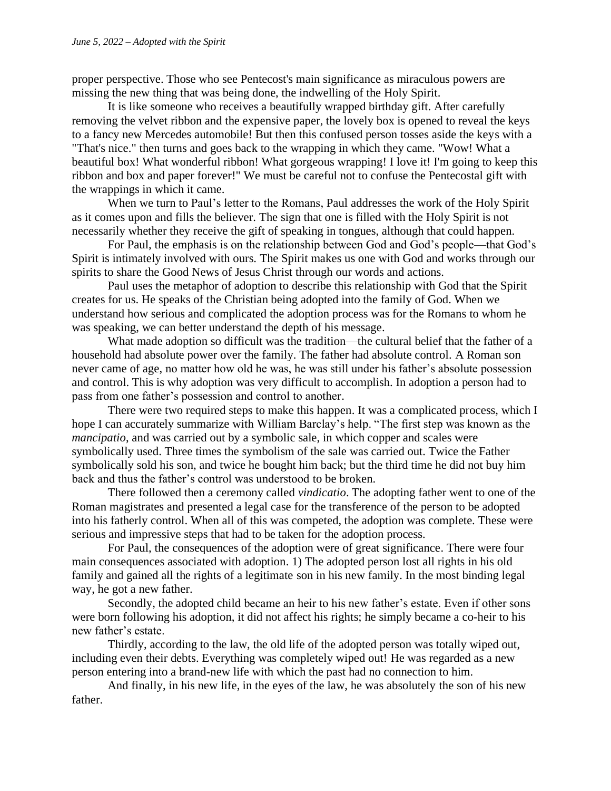proper perspective. Those who see Pentecost's main significance as miraculous powers are missing the new thing that was being done, the indwelling of the Holy Spirit.

It is like someone who receives a beautifully wrapped birthday gift. After carefully removing the velvet ribbon and the expensive paper, the lovely box is opened to reveal the keys to a fancy new Mercedes automobile! But then this confused person tosses aside the keys with a "That's nice." then turns and goes back to the wrapping in which they came. "Wow! What a beautiful box! What wonderful ribbon! What gorgeous wrapping! I love it! I'm going to keep this ribbon and box and paper forever!" We must be careful not to confuse the Pentecostal gift with the wrappings in which it came.

When we turn to Paul's letter to the Romans, Paul addresses the work of the Holy Spirit as it comes upon and fills the believer. The sign that one is filled with the Holy Spirit is not necessarily whether they receive the gift of speaking in tongues, although that could happen.

For Paul, the emphasis is on the relationship between God and God's people—that God's Spirit is intimately involved with ours. The Spirit makes us one with God and works through our spirits to share the Good News of Jesus Christ through our words and actions.

Paul uses the metaphor of adoption to describe this relationship with God that the Spirit creates for us. He speaks of the Christian being adopted into the family of God. When we understand how serious and complicated the adoption process was for the Romans to whom he was speaking, we can better understand the depth of his message.

What made adoption so difficult was the tradition—the cultural belief that the father of a household had absolute power over the family. The father had absolute control. A Roman son never came of age, no matter how old he was, he was still under his father's absolute possession and control. This is why adoption was very difficult to accomplish. In adoption a person had to pass from one father's possession and control to another.

There were two required steps to make this happen. It was a complicated process, which I hope I can accurately summarize with William Barclay's help. "The first step was known as the *mancipatio*, and was carried out by a symbolic sale, in which copper and scales were symbolically used. Three times the symbolism of the sale was carried out. Twice the Father symbolically sold his son, and twice he bought him back; but the third time he did not buy him back and thus the father's control was understood to be broken.

There followed then a ceremony called *vindicatio*. The adopting father went to one of the Roman magistrates and presented a legal case for the transference of the person to be adopted into his fatherly control. When all of this was competed, the adoption was complete. These were serious and impressive steps that had to be taken for the adoption process.

For Paul, the consequences of the adoption were of great significance. There were four main consequences associated with adoption. 1) The adopted person lost all rights in his old family and gained all the rights of a legitimate son in his new family. In the most binding legal way, he got a new father.

Secondly, the adopted child became an heir to his new father's estate. Even if other sons were born following his adoption, it did not affect his rights; he simply became a co-heir to his new father's estate.

Thirdly, according to the law, the old life of the adopted person was totally wiped out, including even their debts. Everything was completely wiped out! He was regarded as a new person entering into a brand-new life with which the past had no connection to him.

And finally, in his new life, in the eyes of the law, he was absolutely the son of his new father.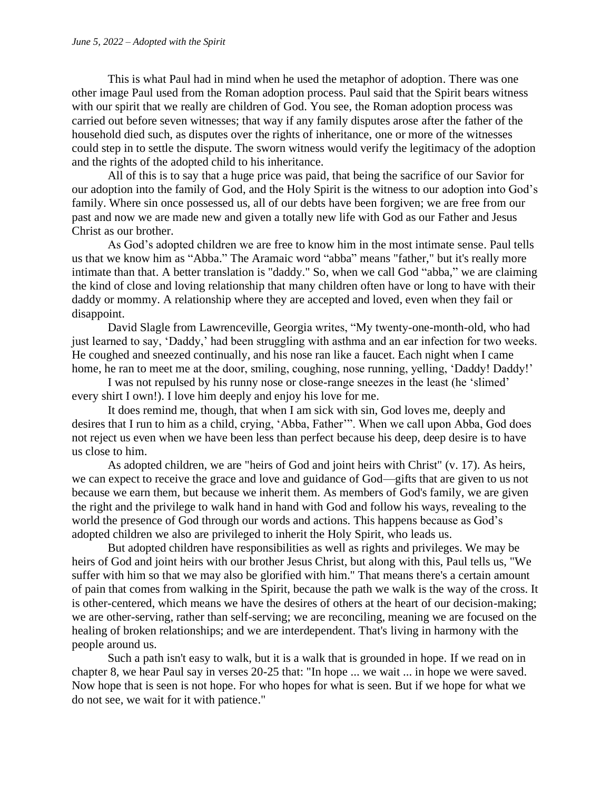This is what Paul had in mind when he used the metaphor of adoption. There was one other image Paul used from the Roman adoption process. Paul said that the Spirit bears witness with our spirit that we really are children of God. You see, the Roman adoption process was carried out before seven witnesses; that way if any family disputes arose after the father of the household died such, as disputes over the rights of inheritance, one or more of the witnesses could step in to settle the dispute. The sworn witness would verify the legitimacy of the adoption and the rights of the adopted child to his inheritance.

All of this is to say that a huge price was paid, that being the sacrifice of our Savior for our adoption into the family of God, and the Holy Spirit is the witness to our adoption into God's family. Where sin once possessed us, all of our debts have been forgiven; we are free from our past and now we are made new and given a totally new life with God as our Father and Jesus Christ as our brother.

As God's adopted children we are free to know him in the most intimate sense. Paul tells us that we know him as "Abba." The Aramaic word "abba" means "father," but it's really more intimate than that. A better translation is "daddy." So, when we call God "abba," we are claiming the kind of close and loving relationship that many children often have or long to have with their daddy or mommy. A relationship where they are accepted and loved, even when they fail or disappoint.

David Slagle from Lawrenceville, Georgia writes, "My twenty-one-month-old, who had just learned to say, 'Daddy,' had been struggling with asthma and an ear infection for two weeks. He coughed and sneezed continually, and his nose ran like a faucet. Each night when I came home, he ran to meet me at the door, smiling, coughing, nose running, yelling, 'Daddy! Daddy!'

I was not repulsed by his runny nose or close-range sneezes in the least (he 'slimed' every shirt I own!). I love him deeply and enjoy his love for me.

It does remind me, though, that when I am sick with sin, God loves me, deeply and desires that I run to him as a child, crying, 'Abba, Father'". When we call upon Abba, God does not reject us even when we have been less than perfect because his deep, deep desire is to have us close to him.

As adopted children, we are "heirs of God and joint heirs with Christ" (v. 17). As heirs, we can expect to receive the grace and love and guidance of God—gifts that are given to us not because we earn them, but because we inherit them. As members of God's family, we are given the right and the privilege to walk hand in hand with God and follow his ways, revealing to the world the presence of God through our words and actions. This happens because as God's adopted children we also are privileged to inherit the Holy Spirit, who leads us.

But adopted children have responsibilities as well as rights and privileges. We may be heirs of God and joint heirs with our brother Jesus Christ, but along with this, Paul tells us, "We suffer with him so that we may also be glorified with him." That means there's a certain amount of pain that comes from walking in the Spirit, because the path we walk is the way of the cross. It is other-centered, which means we have the desires of others at the heart of our decision-making; we are other-serving, rather than self-serving; we are reconciling, meaning we are focused on the healing of broken relationships; and we are interdependent. That's living in harmony with the people around us.

Such a path isn't easy to walk, but it is a walk that is grounded in hope. If we read on in chapter 8, we hear Paul say in verses 20-25 that: "In hope ... we wait ... in hope we were saved. Now hope that is seen is not hope. For who hopes for what is seen. But if we hope for what we do not see, we wait for it with patience."